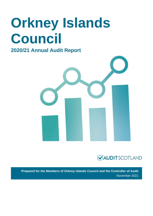# **Orkney Islands Council**

### **2020/21 Annual Audit Report**





**Prepared for the Members of Orkney Islands Council and the Controller of Audit** November 2021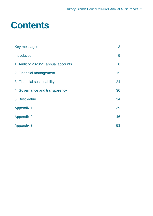## **Contents**

| Key messages                        | 3  |
|-------------------------------------|----|
| <b>Introduction</b>                 | 5  |
| 1. Audit of 2020/21 annual accounts | 8  |
| 2. Financial management             | 15 |
| 3. Financial sustainability         | 24 |
| 4. Governance and transparency      | 30 |
| 5. Best Value                       | 34 |
| <b>Appendix 1</b>                   | 39 |
| <b>Appendix 2</b>                   | 46 |
| <b>Appendix 3</b>                   | 53 |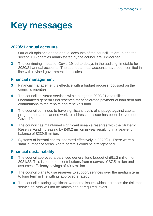## <span id="page-2-0"></span>**Key messages**

### **2020/21 annual accounts**

- **1** Our audit opinions on the annual accounts of the council, its group and the section 106 charities administered by the council are unmodified.
- **2** The continuing impact of Covid-19 led to delays in the auditing timetable for 2020/21 annual accounts. The audited annual accounts have been certified in line with revised government timescales.

### **Financial management**

- **3** Financial management is effective with a budget process focussed on the council's priorities.
- **4** The council delivered services within budget in 2020/21 and utilised uncommitted general fund reserves for accelerated payment of loan debt and contributions to the repairs and renewals fund.
- **5** The council continues to have significant levels of slippage against capital programmes and planned work to address the issue has been delayed due to Covid-19.
- **6** The council has maintained significant useable reserves with the Strategic Reserve Fund increasing by £40.2 million in year resulting in a year-end balance of £239.5 million.
- **7** Systems of internal control operated effectively in 2020/21. There were a small number of areas where controls could be strengthened.

### **Financial sustainability**

- **8** The council approved a balanced general fund budget of £91.2 million for 2021/22. This is based on contributions from reserves of £7.5 million and assumes efficiency savings of £0.6 million.
- **9** The council plans to use reserves to support services over the medium term to long term in line with its approved strategy.
- **10** The council is facing significant workforce issues which increases the risk that service delivery will not be maintained at required levels.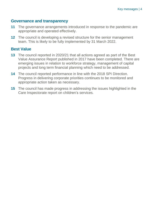### **Governance and transparency**

- **11** The governance arrangements introduced in response to the pandemic are appropriate and operated effectively.
- **12** The council is developing a revised structure for the senior management team. This is likely to be fully implemented by 31 March 2022.

### **Best Value**

- **13** The council reported in 2020/21 that all actions agreed as part of the Best Value Assurance Report published in 2017 have been completed. There are emerging issues in relation to workforce strategy, management of capital projects and long term financial planning which need to be addressed.
- **14** The council reported performance in line with the 2018 SPI Direction. Progress in delivering corporate priorities continues to be monitored and appropriate action taken as necessary.
- **15** The council has made progress in addressing the issues highlighted in the Care Inspectorate report on children's services.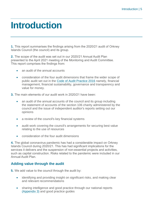## <span id="page-4-0"></span>**Introduction**

**1.** This report summarises the findings arising from the 2020/21 audit of Orkney Islands Council (the council) and its group.

**2.** The scope of the audit was set out in our 2020/21 Annual Audit Plan presented to the April 2021 meeting of the Monitoring and Audit Committee. This report comprises the findings from:

- an audit of the annual accounts
- consideration of the four audit dimensions that frame the wider scope of public audit set out in the [Code of Audit Practice 2016](http://www.audit-scotland.gov.uk/report/code-of-audit-practice-2016) namely, financial management, financial sustainability, governance and transparency and value for money.
- **3.** The main elements of our audit work in 2020/21 have been:
	- an audit of the annual accounts of the council and its group including the statement of accounts of the section 106 charity administered by the council and the issue of independent auditor's reports setting out our opinions
	- a review of the council's key financial systems
	- audit work covering the council's arrangements for securing best value relating to the use of resources
	- consideration of the four audit dimensions

**4.** The global coronavirus pandemic has had a considerable impact on Orkney Islands Council during 2020/21. This has had significant implications for the services it delivers and the suspension of non-essential projects and activities, such as capital construction. Risks related to the pandemic were included in our Annual Audit Plan.

### **Adding value through the audit**

**5.** We add value to the council through the audit by:

- identifying and providing insight on significant risks, and making clear and relevant recommendations
- sharing intelligence and good practice through our national reports [\(Appendix 3\)](#page-52-0) and good practice guides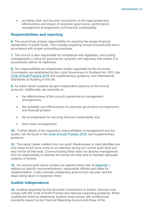• providing clear and focused conclusions on the appropriateness, effectiveness and impact of corporate governance, performance management arrangements and financial sustainability

### **Responsibilities and reporting**

**6.** The council has primary responsibility for ensuring the proper financial stewardship of public funds. This includes preparing annual accounts that are in accordance with proper accounting practices.

**7.** The council is also responsible for compliance with legislation, and putting arrangements in place for governance, propriety and regularity that enable it to successfully deliver its objectives.

**8.** Our responsibilities as independent auditor appointed by the Accounts Commission are established by the Local Government in Scotland Act 1973, the [Code of Audit Practice 2016](http://www.audit-scotland.gov.uk/report/code-of-audit-practice-2016) and supplementary guidance, and International Standards on Auditing in the UK.

**9.** As public sector auditors we give independent opinions on the annual accounts. Additionally, we conclude on:

- the effectiveness of the council's performance management arrangements,
- the suitability and effectiveness of corporate governance arrangements, and financial position
- the arrangements for securing financial sustainability and,
- Best Value arrangements.

**10.** Further details of the respective responsibilities of management and the auditor can be found in the [Code of Audit Practice 2016.](http://www.audit-scotland.gov.uk/report/code-of-audit-practice-2016) and supplementary guidance.

**11.** This report raises matters from our audit. Weaknesses or risks identified are only those which have come to our attention during our normal audit work and may not be all that exist. Communicating these does not absolve management from its responsibility to address the issues we raise and to maintain adequate systems of control.

**12.** Our annual audit report contains an agreed action plan at [Appendix 1](#page-37-0) setting out specific recommendations, responsible officers and dates for implementation. It also includes outstanding actions from last year and the steps being taken to implement them.

### **Auditor Independence**

**13.** Auditors appointed by the Accounts Commission or Auditor General must comply with the Code of Audit Practice and relevant supporting guidance. When auditing the financial statements auditors must comply with professional standards issued by the Financial Reporting Council and those of the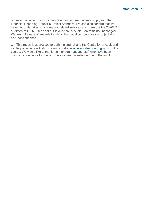professional accountancy bodies. We can confirm that we comply with the Financial Reporting Council's Ethical Standard. We can also confirm that we have not undertaken any non-audit related services and therefore the 2020/21 audit fee of £196,350 as set out in our Annual Audit Plan remains unchanged. We are not aware of any relationships that could compromise our objectivity and independence.

**14.** This report is addressed to both the council and the Controller of Audit and will be published on Audit Scotland's website [www.audit-scotland.gov.uk](http://www.audit-scotland.gov.uk/) in due course. We would like to thank the management and staff who have been involved in our work for their cooperation and assistance during the audit.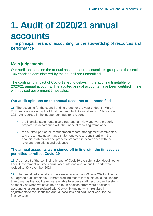## <span id="page-7-0"></span>**1. Audit of 2020/21 annual accounts**

The principal means of accounting for the stewardship of resources and performance

### **Main judgements**

Our audit opinions on the annual accounts of the council, its group and the section 106 charities administered by the council are unmodified.

The continuing impact of Covid-19 led to delays in the auditing timetable for 2020/21 annual accounts. The audited annual accounts have been certified in line with revised government timescales.

### **Our audit opinions on the annual accounts are unmodified**

**15.** The accounts for the council and its group for the year ended 31 March 2021 were approved by the Monitoring and Audit Committee on 11 November 2021. As reported in the independent auditor's report:

- the financial statements give a true and fair view and were properly prepared in accordance with the financial reporting framework
- the audited part of the remuneration report, management commentary and the annual governance statement were all consistent with the financial statements and properly prepared in accordance with the relevant regulations and guidance

### **The annual accounts were signed off in line with the timescales permitted to reflect Covid-19**

**16.** As a result of the continuing impact of Covid19 the submission deadlines for Local Government audited annual accounts and annual audit reports were revised to 30 November 2021.

**17.** The unaudited annual accounts were received on 29 June 2021 in line with our agreed audit timetable. Remote working meant that audit tasks took longer than usual as the audit team were unable to access staff, records, and systems as readily as when we could be on site. In addition, there were additional accounting issues associated with Covid-19 funding which resulted in adjustments to the unaudited annual accounts and additional work for the finance team.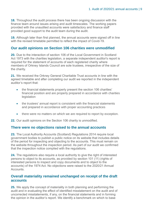**18.** Throughout the audit process there has been ongoing discussion with the finance team around issues arising and audit timescales. The working papers provided with the unaudited accounts were satisfactory and finance staff provided good support to the audit team during the audit.

**19.** Although later than first planned, the annual accounts were signed off in line with the revised timetable permitted to reflect the impact of Covid-19.

### **Our audit opinions on Section 106 charities were unmodified**

**20.** Due to the interaction of section 106 of the Local Government in Scotland Act 1973 with the charities legislation, a separate independent auditor's report is required for the statement of accounts of each registered charity where members of Orkney Islands Council are sole trustees, irrespective of the size of the charity.

**21.** We received the Orkney General Charitable Trust accounts in line with the agreed timetable and after completing our audit we reported in the independent auditor's report that:

- the financial statements properly present the section 106 charities' financial position and are properly prepared in accordance with charities **legislation**
- the trustees' annual report is consistent with the financial statements and prepared in accordance with proper accounting practices
- there were no matters on which we are required to report by exception.

**22.** Our audit opinions on the Section 106 charity is unmodified.

### **There were no objections raised to the annual accounts**

**23.** The Local Authority Accounts (Scotland) Regulations 2014 require local government bodies to publish a public notice on its website that includes details of the period for inspecting and objecting to the accounts. This must remain on the website throughout the inspection period. As part of our audit we confirmed that the inspection notice complied with the regulations.

**24.** The regulations also require a local authority to give the right of interested persons to object to its accounts, as provided by section 101 (11) (rights of interested persons to inspect and copy documents and to object to the accounts) of the 1974 Act. No objections were raised to the 2020/21 Annual Accounts.

### **Overall materiality remained unchanged on receipt of the draft accounts**

**25.** We apply the concept of materiality in both planning and performing the audit and in evaluating the effect of identified misstatement on the audit and of uncorrected misstatements, if any, on the financial statements and in forming the opinion in the auditor's report. We identify a benchmark on which to base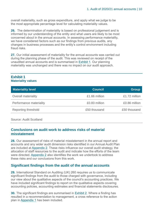overall materiality, such as gross expenditure, and apply what we judge to be the most appropriate percentage level for calculating materiality values.

**26.** The determination of materiality is based on professional judgement and is informed by our understanding of the entity and what users are likely to be most concerned about in the annual accounts. In assessing performance materiality, we have considered factors such as our findings from previous audits, any changes in business processes and the entity's control environment including fraud risks.

**27.** Our initial assessment of materiality for the annual accounts was carried out during the planning phase of the audit. This was reviewed on receipt of the unaudited annual accounts and is summarised in [Exhibit 1.](#page-9-0) Our planning materiality was unchanged and there was no impact on our audit approach.

### <span id="page-9-0"></span>**Exhibit 1 Materiality values**

| <b>Materiality level</b> | <b>Council</b> | <b>Group</b>  |
|--------------------------|----------------|---------------|
| Overall materiality      | £1.66 million  | £1.72 million |
| Performance materiality  | £0.83 million  | £0.86 million |
| Reporting threshold      | £50 thousand   | £50 thousand  |
|                          |                |               |

Source: Audit Scotland

### **Conclusions on audit work to address risks of material misstatement**

**28.** Our assessment of risks of material misstatement in the annual report and accounts and any wider audit dimension risks identified in our Annual Audit Plan are included at [Appendix 2. These risks influence our overall audit strategy, the](#page-45-0)  [allocation of staff resources to the audit and indicate how the efforts of the team](#page-45-0)  were directed. Appendix 2 also [identifies the work we undertook to address](#page-45-0)  [these risks and our conclusions from this work.](#page-45-0) 

### **Significant findings from the audit of the annual accounts**

**29.** International Standard on Auditing (UK) 260 requires us to communicate significant findings from the audit to those charged with governance, including our view about the qualitative aspects of the council's accounting practices. We have included significant findings to report on the qualitative aspects covering accounting policies, accounting estimates and financial statements disclosures.

<span id="page-9-1"></span>**30.** The significant findings are summarised in [Exhibit 2.](#page-10-0) Where a finding has resulted in a recommendation to management, a cross reference to the action plan i[n Appendix 1](#page-37-0) has been included.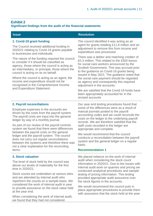### <span id="page-10-0"></span>**Exhibit 2 Significant findings from the audit of the financial statements**

| <b>Issue</b>                                                                                                                                                                                                                         | <b>Resolution</b>                                                                                                                                                                                                                                                                 |  |
|--------------------------------------------------------------------------------------------------------------------------------------------------------------------------------------------------------------------------------------|-----------------------------------------------------------------------------------------------------------------------------------------------------------------------------------------------------------------------------------------------------------------------------------|--|
| 1. Covid-19 grant funding<br>The Council received additional funding in<br>2020/21 relating to Covid-19 grants payable<br>to businesses and individuals.                                                                             | The council identified it was acting as an<br>agent for grants totalling £11.8 million and an<br>adjustment to remove this from income and<br>expenditure was processed.                                                                                                          |  |
| The nature of the funding required the council<br>to consider if it should be classified as<br>agency, those where the council is acting as<br>an intermediary, or principal, those where the<br>council is acting on its on behalf. | There was a debtor and matching creditor of<br>£0.3 million. This related to the £500 bonus<br>for social care workers announced by the<br>Scottish Government. This was accrued prior<br>to the guidance on Covid-19 grants being<br>issued in May 2021. The guidance noted that |  |
| Where the council is acting as an agent, the<br>income and expenditure should not be<br>recognised in the Comprehensive Income                                                                                                       | the social care payment should be regarded<br>as agency and consequently this required<br>adjustment in the accounts.                                                                                                                                                             |  |
| and Expenditure Statement.                                                                                                                                                                                                           | We are satisfied that the Covid-19 funds have<br>been appropriately accounted for in the<br>revised accounts                                                                                                                                                                      |  |
| 2. Payroll reconciliations                                                                                                                                                                                                           | Our year end testing procedures found that                                                                                                                                                                                                                                        |  |
| Employee expenses in the accounts are<br>driven by the costs from the payroll system.<br>The payroll costs are input into the general<br>ledger by way of a monthly journal.                                                         | some of the differences were as a result of<br>manual journals posted to the payroll<br>accounting codes and we could reconcile the<br>costs on the ledger to the underlying payroll<br>records. We are therefore satisfied that the                                              |  |
| As part of our review of the payroll controls<br>system we found that there were differences                                                                                                                                         | staff costs recorded in the ledger are<br>appropriate and complete.                                                                                                                                                                                                               |  |
| between the payroll costs on the general<br>ledger and the payroll system. The council<br>does not carry out regular reconciliations<br>between the systems and therefore there was<br>not a clear explanation for the reconciling   | We would recommend that the council<br>conducts a reconciliation between the payroll<br>system and the general ledger on a regular<br>basis.                                                                                                                                      |  |
| items.                                                                                                                                                                                                                               | <b>Recommendation 1</b>                                                                                                                                                                                                                                                           |  |
| <b>3. Stock valuation</b>                                                                                                                                                                                                            | We placed reliance on the work of internal                                                                                                                                                                                                                                        |  |
| The level of stock held by the council was<br>above our levels of materiality for the first<br>time in 2020/21.                                                                                                                      | audit when considering the stock count<br>information in 2020/21. Due to the issues with<br>internal audit work on quarries and pricing we<br>conducted analytical procedures and sample                                                                                          |  |
| Stock counts are undertaken at various sites                                                                                                                                                                                         | testing of pricing information. This testing                                                                                                                                                                                                                                      |  |

Stock counts are undertaken at various sites and are attended by internal audit who reperform the counts on a sample basis. We considered the work of internal audit in year to provide assurance on the stock value held at the year end.

When considering the work of internal audit, we found that they had not considered

We would recommend the council puts in place appropriate procedures to provide them with assurance that the stock held at the year

provided appropriate audit assurance over

the stock figures in the accounts.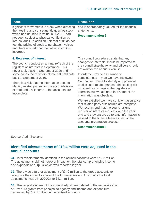| <b>Issue</b>                                                                                                                                                                                                                                                      | <b>Resolution</b>                                                                                                                                                                                                                                                                                                    |  |
|-------------------------------------------------------------------------------------------------------------------------------------------------------------------------------------------------------------------------------------------------------------------|----------------------------------------------------------------------------------------------------------------------------------------------------------------------------------------------------------------------------------------------------------------------------------------------------------------------|--|
| significant movements in stock when directing<br>their testing and consequently quarries stock                                                                                                                                                                    | end is appropriately valued for the financial<br>statements.                                                                                                                                                                                                                                                         |  |
| which had doubled in value in 2020/21 had<br>not been subject to physical verification by<br>internal audit. In addition, internal audit do not<br>test the pricing of stock to purchase invoices<br>and there is a risk that the value of stock is<br>incorrect. | <b>Recommendation 2</b>                                                                                                                                                                                                                                                                                              |  |
| 4. Registers of interest                                                                                                                                                                                                                                          | The council procedures state that any                                                                                                                                                                                                                                                                                |  |
| The council conduct an annual refresh of the<br>registers of interests in September. This<br>never took place in September 2020 and in                                                                                                                            | changes to interests should be reported to<br>the council straight away and officers should<br>not wait for the annual exercise.                                                                                                                                                                                     |  |
| some cases the registers of interest held date<br>back to September 2019.                                                                                                                                                                                         | In order to provide assurance of<br>completeness in year we have reviewed                                                                                                                                                                                                                                            |  |
| There is a risk that the information used to<br>identify related parties for the accounts is out<br>of date and disclosures in the accounts are<br>incomplete.                                                                                                    | Companies House to identify any potential<br>undisclosed related parties. This testing did<br>not identify any gaps in the registers of<br>interests, but we did note that some of the<br>information was obsolete.                                                                                                  |  |
|                                                                                                                                                                                                                                                                   | We are satisfied we have sufficient assurance<br>that related party disclosures are complete.<br>We recommend that the council aligns<br>register of interests requests with the year<br>end and they ensure up to date information is<br>passed to the finance team as part of the<br>accounts preparation process. |  |
|                                                                                                                                                                                                                                                                   | <b>Recommendation 3</b>                                                                                                                                                                                                                                                                                              |  |

Source: Audit Scotland

### **Identified misstatements of £13.4 million were adjusted in the annual accounts**

**31.** Total misstatements identified in the council accounts were £12.2 million. The adjustments did not however impact on the total comprehensive income and expenditure surplus which was reported in year.

**32.** There was a further adjustment of £1.2 million to the group accounts to recognise the council's share of the IJB reserves and this brings the total adjustments made in 2020/21 to £13.4 million.

**33.** The largest element of the council adjustment related to the reclassification of Covid-19 grants from principal to agency and income and expenditure decreased by £12.1 million in the revised accounts.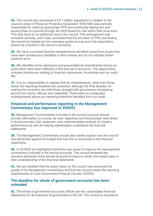**34.** The council also processed a £0.1 million adjustment in relation to the council's share of Personal Protective Equipment. NHS NSS was centrally responsible for ordering appropriate PPE and community testing kits and issuing them to councils through the NHS Board for use within their local area. This was done at no additional cost to the council. This arrangement was reviewed centrally, and it was concluded that the provision of PPE and testing kits should be treated as non-monetary grants and as such the expenditure should be included in the council's accounts.

**35.** We have concluded that the misstatements identified arose from issues that have been isolated and identified in their entirety and do not indicate further systemic error.

**36.** We identified some disclosure and presentational amendments during our audit which have been reflected in the final set of accounts. The adjustments included disclosures relating to financial instruments, inventories and our audit fee.

**37.** It is our responsibility to request that all misstatements, other than those below the reporting threshold are corrected, although the final decision on making the correction lies with those charged with governance considering advice from senior officers and materiality. There were no unadjusted misstatements above our reporting threshold identified from our audit

### **Financial and performance reporting in the Management Commentary has improved in 2020/21**

**38.** Management Commentaries included in the annual accounts should provide information on a body, its main objectives and the principal risks faced. It should provide a fair, balanced, and understandable analysis of a body's performance as well as helping stakeholders understand the financial **statements** 

**39.** The Management Commentary should also clearly explain how the council has performed against its budget and how this is reconciled to the financial statements.

**40.** In 2019/20 we highlighted that there was scope to improve the management commentary included in the annual accounts. The council reviewed the narrative elements of the annual accounts to improve clarity and assist users in their understanding of the financial statements.

**41.** We are satisfied that the action taken by the council has enhanced the quality of its management commentary and that the council meets the reporting requirements of Local Government Finance Circular 10/2020.

### **The deadline for whole of government accounts has been extended**

**42.** The whole of government accounts (WGA) are the consolidated financial statements for all branches of government in the UK. The council is required to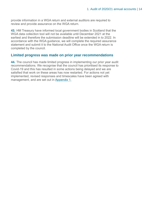provide information in a WGA return and external auditors are required to review and provide assurance on the WGA return.

**43.** HM Treasury have informed local government bodies in Scotland that the WGA data collection tool will not be available until December 2021 at the earliest and therefore the submission deadline will be extended in to 2022. In accordance with the WGA guidance, we will complete the required assurance statement and submit it to the National Audit Office once the WGA return is completed by the council.

### **Limited progress was made on prior year recommendations**

**44.** The council has made limited progress in implementing our prior year audit recommendations. We recognise that the council has prioritised its response to Covid-19 and this has resulted in some actions being delayed and we are satisfied that work on these areas has now restarted. For actions not yet implemented, revised responses and timescales have been agreed with management, and are set out in [Appendix 1.](#page-37-0)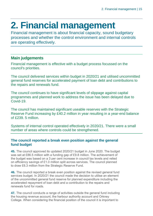## <span id="page-14-0"></span>**2. Financial management**

Financial management is about financial capacity, sound budgetary processes and whether the control environment and internal controls are operating effectively.

### **Main judgements**

Financial management is effective with a budget process focussed on the council's priorities.

The council delivered services within budget in 2020/21 and utilised uncommitted general fund reserves for accelerated payment of loan debt and contributions to the repairs and renewals fund.

The council continues to have significant levels of slippage against capital programmes and planned work to address the issue has been delayed due to Covid-19.

The council has maintained significant useable reserves with the Strategic Reserve Fund increasing by £40.2 million in year resulting in a year-end balance of £239. 5 million.

Systems of internal control operated effectively in 2020/21. There were a small number of areas where controls could be strengthened.

### **The council reported a break even position against the general fund budget**

**45.** The council approved its updated 2020/21 budget in June 2020. The budget was set at £86.5 million with a funding gap of £9.8 million. The achievement of the budget was based on a 3 per cent increase in council tax levels and relied on efficiency savings of £1.0 million split across services. The council planned to draw £6.3 million from the Strategic Reserve Fund.

**46.** The council reported a break even position against the revised general fund services budget. In 2020/21 the council made the decision to utilise an element of the uncommitted general fund reserve for planned expenditure including the accelerated repayment of loan debt and a contribution to the repairs and renewals fund for roads.

**47.** The council conducts a range of activities outside the general fund including the housing revenue account, the harbour authority account and Orkney College. When considering the financial position of the council it is important to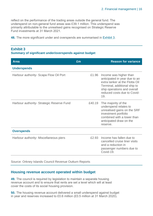reflect on the performance of the trading areas outside the general fund. The underspend on non-general fund areas was £39.1 million. This underspend was primarily attributable to the unrealised gains recognised on Strategic Reserve Fund investments at 31 March 2021.

**48.** The more significant under and overspends are summarised in [Exhibit 3.](#page-15-0)

### <span id="page-15-0"></span>**Exhibit 3**

### **Summary of significant under/overspends against budget**

| <b>Area</b>                               | £m     | <b>Reason for variance</b>                                                                                                                                                                     |
|-------------------------------------------|--------|------------------------------------------------------------------------------------------------------------------------------------------------------------------------------------------------|
| <b>Underspends</b>                        |        |                                                                                                                                                                                                |
| Harbour authority - Scapa Flow Oil Port   | £1.96  | Income was higher than<br>anticipated in year due to an<br>extra tanker at the Flotta Oil<br>Terminal, additional ship to<br>ship operations and overall<br>reduced costs due to Covid-<br>19. |
| Harbour authority- Strategic Reserve Fund | £40.19 | The majority of the<br>underspend relates to<br>unrealised gains on the SRF<br>investment portfolio<br>combined with a lower than<br>anticipated draw on the<br>reserve.                       |
| <b>Overspends</b>                         |        |                                                                                                                                                                                                |
| Harbour authority - Miscellaneous piers   | £2.93  | Income has fallen due to<br>cancelled cruise liner visits<br>and a reduction in<br>passenger numbers due to<br>Covid-19.                                                                       |

Source: Orkney Islands Council Revenue Outturn Reports

### **Housing revenue account operated within budget**

**49.** The council is required by legislation to maintain a separate housing revenue account and to ensure that rents are set a level which will at least cover the costs of its social housing provision.

**50.** The housing revenue account delivered a small underspend against budget in year and reserves increased to £0.6 million (£0.5 million at 31 March 2020).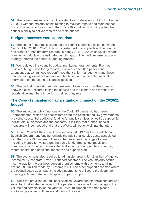**51.** The housing revenue account reported total underspends of £0.1 million in 2020/21 with the majority of this relating to reduced repairs and maintenance costs. The reduction was due to the Covid-19 lockdown which impacted the council's ability to deliver repairs and maintenance.

### **Budget processes were appropriate**

**52.** The council's budget is aligned to the council's priorities as set out in the Council Plan 2018 to 2023. This is consistent with good practice. The council has created a medium term resource strategy 2017-2022 which used scenario planning to calculate the estimated funding gaps. The medium term resource strategy informs the annual budgeting process.

**53.** We reviewed the council's budget monitoring arrangements. From our review of budget monitoring reports, review of committee papers and attendance at committees we confirmed that senior management and those charged with governance receive regular, timely and up to date financial information on the council's financial position.

**54.** The budget monitoring reports presented to service committees clearly show the cost pressures facing the service and the content and format of the reports allow members to perform their scrutiny role.

### **The Covid-19 pandemic had a significant impact on the 2020/21 budget**

**55.** The impact on public finances of the Covid-19 pandemic has been unprecedented, which has necessitated both the Scottish and UK governments providing substantial additional funding for public services as well as support for individuals, businesses and the economy. It is likely that further financial measures will be needed and that the effects will be felt well into the future.

**56.** During 2020/21 the council received around £13.1 million of additional Scottish Government funding towards the additional service costs associated with the Covid-19 pandemic. These schemes covered a range of areas including money for welfare and hardship funds, free school meals and community food funding, vulnerable children and young people, community mental health, and additional teachers and support staff.

**57.** The council was also required to administer around £11.8 million of agency income for 12 separate Covid-19 support schemes. The vast majority of this income was for the business support grant scheme with payments totalling around £8.3 million made by 31 March 2021. The other support schemes where the council acted as an agent included payments to childcare providers, taxi drivers grants and retail and hospitality top-up support.

**58.** While the provision of additional Scottish Government financial support was essential to alleviate the impact of the pandemic, we noted that managing the volume and complexity of the various Covid-19 support schemes placed additional pressure on finance staff during the year.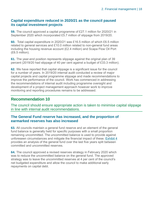### **Capital expenditure reduced in 2020/21 as the council paused its capital investment projects**

**59.** The council approved a capital programme of £27.1 million for 2020/21 in September 2020 which incorporated £5.7 million of slippage from 2019/20.

**60.** Total capital expenditure in 2020/21 was £16.5 million of which £6.5 million related to general services and £10.0 million related to non-general fund areas including the housing revenue account (£2.4 million) and Scapa Flow Oil Port (£6.5 million).

**61.** The year-end position represents slippage against the original plan of 39 percent (2019/20 had slippage of 40 per cent against a budget of £33.3 million).

**62.** We have reported that capital slippage is a significant issue for the council for a number of years. In 2019/20 internal audit conducted a review of major capital projects and capital programme slippage and made recommendations to improve the performance of the council. Work has commenced in addressing the recommendations of internal audit including programme oversight and development of a project management approach however work to improve monitoring and reporting procedures remains to be addressed.

### **Recommendation 10**

The council should ensure appropriate action is taken to minimise capital slippage in line with internal audit recommendations.

### **The General Fund reserve has increased, and the proportion of earmarked reserves has also increased**

**63.** All councils maintain a general fund reserve and an element of the general fund balance is generally held for specific purposes with a small proportion remaining uncommitted. The uncommitted balance is used to provide against unforeseen circumstances and mitigate the financial impact of these. [Exhibit 4](#page-18-0) provides an analysis of the general fund over the last five years split between committed and uncommitted reserves.

**64.** The council approved a revised reserves strategy in February 2020 which was to reduce the uncommitted balance on the general fund. The approved strategy was to leave the uncommitted reserves at 4 per cent of the council's net budgeted expenditure and allow the council to make additional early repayments on capital debt.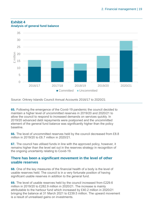

### <span id="page-18-0"></span>**Exhibit 4 Analysis of general fund balance**

Source: Orkney Islands Council Annual Accounts 2016/17 to 2020/21

**65.** Following the emergence of the Covid-19 pandemic the council decided to maintain a higher level of uncommitted reserves in 2019/20 and 2020/21 to allow the council to respond to increased demands on services quickly. In 2019/20 advanced debt repayments were postponed and the uncommitted element of the general fund balance was significantly higher than the policy baseline.

**66.** The level of uncommitted reserves held by the council decreased from £8.8 million in 2019/20 to £6.7 million in 2020/21.

**67.** The council has utilised funds in line with the approved policy, however, it remains higher than the level set out in the reserves strategy in recognition of the ongoing uncertainty relating to Covid-19.

### **There has been a significant movement in the level of other usable reserves**

**68.** One of the key measures of the financial health of a body is the level of usable reserves held. The council is in a very fortunate position of having significant usable reserves in addition to the general fund.

**69.** The level of usable reserves held by the council increased from £229.6 million in 2019/20 to £282.9 million in 2020/21. The increase is mainly attributable to the harbour fund which increased by £40.2 million in 2020/21 bringing the balance at 31 March 2021 to £239.5 million. The upward movement is a result of unrealised gains on investments.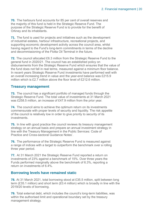**70.** The harbours fund accounts for 85 per cent of overall reserves and the majority of this fund is held in the Strategic Reserve Fund. The purpose of the Strategic Reserve Fund is to provide for the benefit of Orkney and its inhabitants.

**71.** The fund is used for projects and initiatives such as the development of industrial estates, harbour infrastructure, recreational projects, and supporting economic development activity across the council area, whilst having regard to the Fund's long-term commitments in terms of the decline and decommissioning of the Flotta Oil Terminal in the future.

**72.** The council allocated £6.3 million from the Strategic Reserve Fund to the general fund in 2020/21. The council has an established policy on disbursements from the Strategic Reserve Fund which ensures that the value of the fund does not fall in real terms, measured against a minimum floor balance. In recent years Strategic Reserve Fund investments have performed well with an overall increasing trend in value and the year-end balance was £215.9 million which is £2.7 million above the floor level of £212.6 million.

### **Treasury management**

**73.** The council has a significant portfolio of managed funds through the Strategic Reserve Fund. The total value of investments at 31 March 2021 was £258.5 million, an increase of £47.9 million from the prior year.

**74.** The council aims to achieve the optimum return on its investments commensurate with proper levels of security and liquidity. The risk appetite of the council is relatively low in order to give priority to security of its **investments** 

**75.** In line with good practice the council reviews its treasury management strategy on an annual basis and prepare an annual investment strategy in line with the Treasury Management in the Public Services: Code of Practice and Cross-sectoral Guidance Notes'.

**76.** The performance of the Strategic Reserve Fund is measured against a range of indices with a target to outperform the benchmark over a rolling three year period.

**77.** At 31 March 2021 the Strategic Reserve Fund reported a return on investments of 23% against a benchmark of 15%. Over three years the Funds performed marginally above the benchmark of 6.3%, reporting a return on investments of 6.4%.

### **Borrowing levels have remained static**

**78.** At 31 March 2021, total borrowing stood at £35.5 million, split between long term (£35.1 million) and short term (£0.4 million) which is broadly in line with the 2019/20 levels of borrowing.

**79.** Total external debt, which includes the council's long-term liabilities, was within the authorised limit and operational boundary set by the treasury management strategy.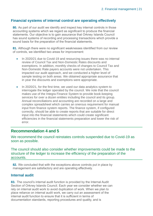### **Financial systems of internal control are operating effectively**

**80.** As part of our audit we identify and inspect key internal controls in those accounting systems which we regard as significant to produce the financial statements. Our objective is to gain assurance that Orkney Islands Council has sound systems of recording and processing transactions which provide a sound basis for the preparation of the financial statements.

<span id="page-20-0"></span>**81.** Although there were no significant weaknesses identified from our review of controls, we identified two areas for improvement:

- In 2020/21 due to Covid-19 and resourcing issues there was no internal review of Council Tax and Non-Domestic Rates discounts and exemptions. In addition, monthly checks of changes to Council Tax and Non-Domestic Rate payers accounts were not undertaken. This impacted our audit approach, and we conducted a higher level of sample testing on both areas. We obtained appropriate assurance that in year the discounts and exemptions were appropriate.
- In 2020/21, for the first time, we used our data analytics system to interrogate the ledger operated by the council. We note that the council makes use of the Integra Finance System to provide book-keeping services for over a dozen entities including the council and its group. Annual reconciliations and accounting are recorded on a large and complex spreadsheet which carries an onerous requirement for manual input from finance system reports. The finance system, if configured correctly, should be able to create reports that are suitable for direct input into the financial statements which could create significant efficiencies in the financial statements preparation and lower the risk of error.

### **Recommendation 4 and 5**

We recommend the council reinstates controls suspended due to Covid-19 as soon as possible.

The council should also consider whether improvements could be made to the structure of the ledger to increase the efficiency of the preparation of the accounts.

**82.** We concluded that with the exceptions above controls put in place by management are satisfactory and are operating effectively.

### **Internal audit**

**83.** The council's internal audit function is provided by the Internal Audit Section of Orkney Islands Council. Each year we consider whether we can rely on internal audit work to avoid duplication of work. When we plan to place reliance on internal audit work, we carry out an assessment of the internal audit function to ensure that it is sufficient in terms of documentation standards, reporting procedures and quality, and is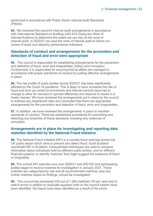performed in accordance with Public Sector Internal Audit Standards (PSIAS).

**84.** We reviewed the council's internal audit arrangements in accordance with International Standard on Auditing (UK) 610 (Using the Work of Internal Auditors) to determine the extent we can rely on the work of internal audit. In 2020/21 we used the work of internal audit to inform our review of stock and statutory performance indicators.

### **Standards of conduct and arrangements for the prevention and detection of fraud and error were appropriate**

**85.** The council is responsible for establishing arrangements for the prevention and detection of fraud, error and irregularities, bribery and corruption. Furthermore, it is responsible for ensuring that its affairs are managed in accordance with proper standards of conduct by putting effective arrangements in place.

**86.** The risk profile of public bodies during 2020/21 has been significantly affected by the Covid-19 pandemic. This is likely to have increased the risk of fraud and error as control environments and internal controls have had to change to allow for services to operate effectively and respond to issues in a timely manner. We have reviewed the arrangements put in place by the council to address any heightened risks and concluded that there are appropriate arrangements for the prevention and detection of fraud, error and irregularities.

**87.** In addition, we have reviewed the arrangements in place to maintain standards of conduct. There are established procedures for preventing and detecting any breaches of these standards including any instances of corruption.

### **Arrangements are in place for investigating and reporting data matches identified by the National Fraud Initiative**

**88.** The National Fraud Initiative (NFI) is a counter-fraud exercise across the UK public sector which aims to prevent and detect fraud. Audit Scotland coordinate NFI in Scotland. Computerised techniques are used to compare information about individuals held by different public bodies, and on different financial systems, to identify 'matches' that might suggest the existence of fraud or irregularity.

**89.** The current NFI exercise runs over 2020/21 and 2021/22 and participating bodies began to receive matches for investigation in January 2021. These matches are categorised by risk and all recommended matches, plus any further matches based on findings, should be investigated.

**90.** The council has processed 225 out of 1,283 matched (18 per cent) and to date 8 errors in relation to duplicate suppliers held on the council system have been identified. No frauds have been identified as a result of the errors.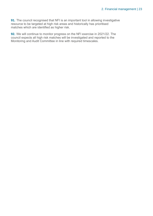**91.** The council recognised that NFI is an important tool in allowing investigative resource to be targeted at high risk areas and historically has prioritised matches which are identified as higher risk.

**92.** We will continue to monitor progress on the NFI exercise in 2021/22. The council expects all high risk matches will be investigated and reported to the Monitoring and Audit Committee in line with required timescales.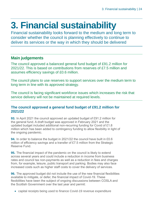## <span id="page-23-0"></span>**3. Financial sustainability**

Financial sustainability looks forward to the medium and long term to consider whether the council is planning effectively to continue to deliver its services or the way in which they should be delivered

### **Main judgements**

The council approved a balanced general fund budget of £91.2 million for 2021/22. This is based on contributions from reserves of £7.5 million and assumes efficiency savings of £0.6 million.

The council plans to use reserves to support services over the medium term to long term in line with its approved strategy.

The council is facing significant workforce issues which increases the risk that service delivery will not be maintained at required levels.

### **The council approved a general fund budget of £91.2 million for 2021/22**

**93.** In April 2021 the council approved an updated budget of £91.2 million for the general fund. A draft budget was approved in February 2021 and the updated budget included additional non-recurring funding for Covid of £1.8 million which has been added to contingency funding to allow flexibility in light of the ongoing pandemic.

**94.** In order to balance the budget in 2021/22 the council have built in £0.6 million of efficiency savings and a transfer of £7.5 million from the Strategic Reserve Fund.

**95.** The financial impact of the pandemic on the council is likely to extend across several years and could include a reduction in income from business rates and council tax non-payments as well as a reduction in fees and charges from, for example, leisure, public transport and parking. Bodies may also face increased costs such as higher staff costs to cover the delivery of services.

**96.** The approved budget did not include the use of the new financial flexibilities available to mitigate, or defer, the financial impact of Covid-19. These flexibilities have been the subject of ongoing discussions between COSLA and the Scottish Government over the last year and permit:

• capital receipts being used to finance Covid-19 revenue expenditure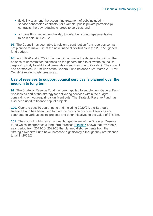- flexibility to amend the accounting treatment of debt included in service concession contracts (for example, public private partnership) contracts, thereby reducing charges to services, and
- a Loans Fund repayment holiday to defer loans fund repayments due to be repaid in 2021/22.

**97.** The Council has been able to rely on a contribution from reserves so has not planned to make use of the new financial flexibilities in the 2021/22 general fund budget.

**98.** In 2019/20 and 2020/21 the council had made the decision to build up the balance of uncommitted balances on the general fund to allow the council to respond quickly to additional demands on services due to Covid-19. The council had earmarked £2.1 million of the General Fund balance at 31 March 2021 for Covid-19 related costs pressures.

### **Use of reserves to support council services is planned over the medium to long term**

**99.** The Strategic Reserve Fund has been applied to supplement General Fund Services as part of the strategy for delivering services within the budget constraints without requiring significant cuts. The Strategic Reserve Fund has also been used to finance capital projects.

**100.** Over the past 10 years, up to and including 2020/21, the Strategic Reserve Fund has been used to fund the provision of council services and contribute to various capital projects and other initiatives to the value of £75.1m.

**101.** The council publishes an annual budget review of the Strategic Reserve Fund which incorporates a long term forecast. [Exhibit 5](#page-25-0) shows that over the 5 year period from 2019/20- 2022/23 the planned disbursements from the Strategic Reserve Fund have increased significantly although they are planned to fall in 2023/24.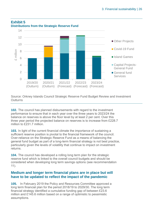

### <span id="page-25-0"></span>**Exhibit 5 Distributions from the Strategic Reserve Fund**

Source: Orkney Islands Council Strategic Reserve Fund Budget Review and Investment **Outturns** 

**102.** The council has planned disbursements with regard to the investment performance to ensure that in each year over the three years to 2023/24 the balance on reserves is above the floor level by at least 2 per cent. Over this three year period the projected balance on reserves is to increase from £228.7 million to £231.7 million.

**103.** In light of the current financial climate the importance of sustaining a sufficient reserve position is pivotal to the financial framework of the council. Over-reliance on the Strategic Reserve Fund as a means of balancing the general fund budget as part of a long-term financial strategy is not best practice, particularly given the levels of volatility that continue to impact on investment returns.

**104.** The council has developed a rolling long term plan for the strategic reserve fund which is linked to the overall council budgets and should be considered when developing long term savings options (see recommendation 11).

### **Medium and longer term financial plans are in place but will have to be updated to reflect the impact of the pandemic**

**105.** In February 2019 the Policy and Resources Committee approved a long term financial plan for the period 2018/19 to 2029/30. The long term financial strategy identified a cumulative funding gap of between £23.6 million and £145.6 million based on a range of optimistic to pessimistic assumptions.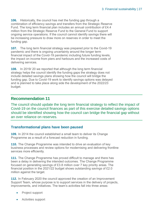**106.** Historically, the council has met the funding gap through a combination of efficiency savings and transfers from the Strategic Reserve Fund. The long term financial plan includes an annual contribution of £4.4 million from the Strategic Reserve Fund to the General Fund to support ongoing service operations. If the council cannot identify savings there will be increasing pressure to draw more on reserves in order to meet the funding gap.

**107.** The long term financial strategy was prepared prior to the Covid-19 pandemic and there is ongoing uncertainty around the longer term financial impact of the Covid-19 pandemic including future funding levels, the impact on income from piers and harbours and the increased costs of delivering services.

**108.** In 2019/ 20 we reported that although the long term financial strategy helps the council identify the funding gaps the strategy does not include detailed savings plans showing how the council will bridge the funding gap. Due to Covid-19 work to identify savings options was delayed and is planned to take place along side the development of the 2022/23 budget.

### **Recommendation 11**

The council should update the long term financial strategy to reflect the impact of Covid-19 on the council finances as part of this exercise detailed savings options should be identified showing how the council can bridge the financial gap without an over reliance on reserves.

### **Transformational plans have been paused**

**109.** In 2014 the council established a small team to deliver its Change Programme as a result of a forecast reduction in funding.

**110.** The Change Programme was intended to drive an evaluation of key business processes and review options for modernising and delivering frontline services more efficiently.

**111.** The Change Programme has proved difficult to manage and there has been a delay in delivering the intended outcomes. The Change Programme focused on generating savings of £3.8 million over 7 key priority areas. The financial position in the 2021/22 budget shows outstanding savings of £2.0 million against the target.

**112.** In February 2020 the council approved the creation of an Improvement Support Team, whose purpose is to support services in the delivery of projects, improvements, and initiatives. The team's activities fall into three areas:

- Project support
- Activities support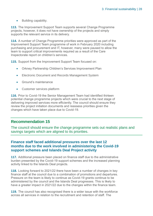• Building capability.

**113.** The Improvement Support Team supports several Change Programme projects, however, it does not have ownership of the projects and simply supports the relevant service in its delivery.

**114.** A number of Change Programme priorities were approved as part of the Improvement Support Team programme of work in February 2020 including purchasing and procurement and IT, however, many were paused to allow the team to support critical improvements required as a result of the Care Inspectorate report on children's services.

**115.** Support from the Improvement Support Team focused on:

- Orkney Partnership Children's Services Improvement Plan
- Electronic Document and Records Management System
- Ground's maintenance
- Customer services platform

**116.** Prior to Covid-19 the Senior Management Team had identified thirteen potential change programme projects which were crucial to the next stage of delivering improved services more efficiently. The council should ensure they review the project initiation documents and reassess priorities given the changes which have taken place due to Covid-19.

### **Recommendation 15**

The council should ensure the change programme sets out realistic plans and savings targets which are aligned to its priorities.

### **Finance staff faced additional pressures over the last 12 months due to the work involved in administering the Covid-19 support schemes and Islands Deal Project activity**

**117.** Additional pressure been placed on finance staff due to the administrative burden presented by the Covid-19 support schemes and the increased planning activity linked to the Islands Deal projects.

**118.** Looking forward to 2021/22 there have been a number of changes in key finance staff at the council due to a combination of promotions and departures. Pressure on the team is likely to continue as Covid-19 grants continue to be administered by the council and the Islands Deal progresses. This is likely to have a greater impact in 2021/22 due to the changes within the finance team.

**119.** The council has also recognised there is a wider issue with the workforce across all services in relation to the recruitment and retention of staff. The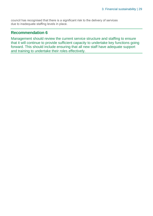council has recognised that there is a significant risk to the delivery of services due to inadequate staffing levels in place.

### **Recommendation 6**

Management should review the current service structure and staffing to ensure that it will continue to provide sufficient capacity to undertake key functions going forward. This should include ensuring that all new staff have adequate support and training to undertake their roles effectively.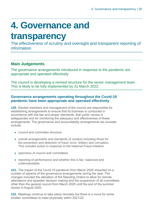## <span id="page-29-0"></span>**4. Governance and**

### **transparency**

The effectiveness of scrutiny and oversight and transparent reporting of information

### **Main Judgements**

The governance arrangements introduced in response to the pandemic are appropriate and operated effectively.

The council is developing a revised structure for the senior management team. This is likely to be fully implemented by 31 March 2022.

### **Governance arrangements operating throughout the Covid-19 pandemic have been appropriate and operated effectively**

**120.** Elected members and management of the council are responsible for establishing arrangements to ensure that its business is conducted in accordance with the law and proper standards, that public money is safeguarded and for monitoring the adequacy and effectiveness of these arrangements. The governance and accountability arrangements we consider include:

- council and committee structure
- overall arrangements and standards of conduct including those for the prevention and detection of fraud, error, bribery and corruption. This includes action in response to the National Fraud Initiative
- openness of council and committees
- reporting of performance and whether this is fair, balanced and understandable.

**121.** The impact of the Covid-19 pandemic from March 2020 impacted on a number of aspects of the governance arrangements during the year. The changes included the alteration of the Standing Orders to allow for remote attendance and speedier decision making and the suspension of all committees other than the general council from March 2020 until the end of the summer recess in August 2020.

**122.** Meetings continue to take place remotely but there is a move for some smaller committees to meet physically within 2021/22.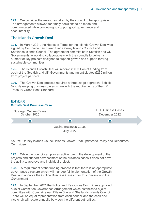**123.** We consider the measures taken by the council to be appropriate. The arrangements allowed for timely decisions to be made and communicated while continuing to support good governance and accountability.

### **The Islands Growth Deal**

**124.** In March 2021, the Heads of Terms for the Islands Growth Deal was signed by Comhairle nan Eilean Siar, Orkney Islands Council and Shetlands Islands Council. The agreement commits both Scottish and UK Governments to working collaboratively with the councils to deliver a number of key projects designed to support growth and support thriving sustainable communities.

**125.** The Islands Growth Deal will receive £50 million of funding from each of the Scottish and UK Governments and an anticipated £235 million from project partners.

**126.** The Growth Deal process requires a three stage approach (Exhibit 6) to developing business cases in line with the requirements of the HM Treasury Green Book Standard.



Source: Orkney Islands Council Islands Growth Deal updates to Policy and Resources **Committee** 

**127.** While the council can play an active role in the development of the projects and support advancement of the business cases it does not have the ability to approve any individual project.

**128.** A requirement of the funding process is that there is an appropriate governance structure which will manage full implementation of the Growth Deal and approve the Outline Business Cases prior to submission to the Government

**129.** In September 2021 the Policy and Resources Committee approved a Joint Committee Governance Arrangement which established a joint committee with Comhairle nan Eilean Siar and Shetlands Islands Council. There will be equal representation from each council and the chair and vice chair will rotate annually between the different authorities.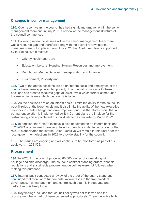### **Changes in senior management**

**130.** Over recent years the council has had significant turnover within the senior management team and in July 2021 a review of the management structure of the council commenced.

**131.** Following recent departures within the senior management team there was a resource gap and therefore along with the overall review interim measures were put in place. From July 2021 the Chief Executive is supported by four executive directors:

- Orkney Health and Care
- Education, Leisure, Housing, Human Resources and Improvement
- Regulatory, Marine Services, Transportation and Finance
- Environment, Property and IT

**132.** Two of the above positions are on an interim basis and employees of the council have been appointed temporarily. The internal promotions to these positions has created resource gaps at lower levels which further compounds the resourcing issues which the council is facing.

**133.** As the positions are on an interim basis it limits the ability for the council to backfill roles at the lower levels and it also limits the ability of the new executive directors to create change and drive improvement. It is therefore crucial that a permanent solution is implemented swiftly. Current plans are in place for the restructuring and appointment of individuals to be complete by March 2022.

**134.** In addition, the Chief Executive is also appointed on an interim basis and in 2020/21 a recruitment campaign failed to identify a suitable candidate for the role. It is anticipated the interim Chief Executive will remain in role until after the local government elections in 2022 to provide stability for the council.

<span id="page-31-0"></span>**135.** The issues are ongoing and will continue to be monitored as part of our audit work in 2021/22.

### **Procurement**

**136.** In 2020/21 the council procured 80,000 tonnes of stone along with haulage and ship discharge. The council's contract standing orders, financial regulations and sustainable procurement guidelines were not followed when making this purchase.

**137.** Internal audit conducted a review of the order of the quarry stone and concluded that there were fundamental weaknesses in the framework of governance, risk management and control such that it is inadequate and ineffective or is likely to fail.

**138.** Key findings included that council policy was not followed and the procurement team had not been consulted appropriately. There were five high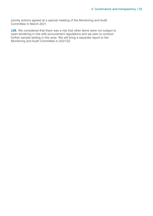priority actions agreed at a special meeting of the Monitoring and Audit Committee in March 2021.

**139.** We considered that there was a risk that other items were not subject to open tendering in line with procurement regulations and we plan to conduct further sample testing in this area. We will bring a separate report to the Monitoring and Audit Committee in 2021/22.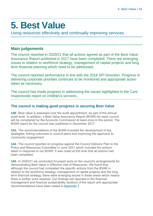## <span id="page-33-0"></span>**5. Best Value**

Using resources effectively and continually improving services.

### **Main judgements**

The council reported in 2020/21 that all actions agreed as part of the Best Value Assurance Report published in 2017 have been completed. There are emerging issues in relation to workforce strategy, management of capital projects and long term financial planning which need to be addressed.

The council reported performance in line with the 2018 SPI Direction. Progress in delivering corporate priorities continues to be monitored and appropriate action taken as necessary.

The council has made progress in addressing the issues highlighted in the Care Inspectorate report on children's services.

### **The council is making good progress in securing Best Value**

**140.** Best value is assessed over the audit appointment, as part of the annual audit work. In addition, a Best Value Assurance Report (BVAR) for each council will be considered by the Accounts Commission at least once in this period. The BVAR report for the council was published in December 2017.

**141.** The recommendations of the BVAR included the development of key strategies, linking outcomes to council plans and improving the approach to community engagement.

**142.** The council reported on progress against the Council Delivery Plan to the Policy and Resources Committee in June 2021 which included the actions taken in response to our BVAR. It was noted at this time that all actions had been completed.

**143.** In 2020/21 we conducted focussed work on the council's arrangements for demonstrating Best Value in Effective Use of Resources. We found that although the council had completed the specific actions from the BVAR in relation to the workforce strategy, management of capital projects and the long term financial strategy, there were emerging issues in these areas which means there is further work required. Our findings are reported in the financial management and financial sustainability sections of the report and appropriate recommendations have been raised i[n Appendix 1.](#page-37-0)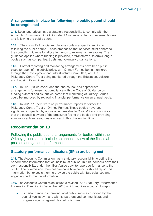### **Arrangements in place for following the public pound should be strengthened**

**144.** Local authorities have a statutory responsibility to comply with the Accounts Commission/ COSLA Code of Guidance on funding external bodies and following the public pound.

**145.** The council's financial regulations contain a specific section on following the public pound. These emphasise that services must adhere to the council's guidance for allocating funds to external organisations. The guidance applies where funding is provided, or transferred, to arm's length bodies such as companies, trusts and voluntary organisations.

**146.** Formal reporting and monitoring arrangements have been put in place for each of the subsidiaries, with Orkney Ferries being monitored through the Development and Infrastructure Committee, and the Pickaquoy Centre Trust being monitored through the Education, Leisure and Housing Committee.

**147.** In 2019/20 we concluded that the council has appropriate arrangements for ensuring compliance with the Code of Guidance on funding external bodies, but we noted that monitoring of Orkney Ferries could be improved by reviewing financial performance on an annual basis.

**148.** In 2020/21 there were no performance reports for either the Pickaquoy Centre Trust or Orkney Ferries. These bodies have been significantly impacted by a loss of income due to Covid-19 and it is critical that the council is aware of the pressures facing the bodies and providing scrutiny over how resources are used in this challenging time.

### **Recommendation 13**

Following the public pound arrangements for bodies within the Orkney group should include an annual review of the financial position and general performance.

### **Statutory performance indicators (SPIs) are being met**

**149.** The Accounts Commission has a statutory responsibility to define the performance information that councils must publish. In turn, councils have their own responsibility, under their Best Value duty, to report performance to the public. The commission does not prescribe how councils should report this information but expects them to provide the public with fair, balanced and engaging performance information.

**150.** The Accounts Commission issued a revised 2018 Statutory Performance Information Direction in December 2018 which requires a council to report:

its performance in improving local public services provided by the council (on its own and with its partners and communities), and progress against agreed desired outcomes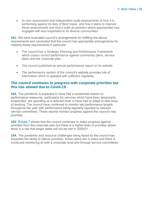• its own assessment and independent audit assessments of how it is performing against its duty of Best Value, and how it plans to improve these assessments and how it (with its partners where appropriate) has engaged with and responded to its diverse communities.

**151.** We have evaluated council's arrangements for fulfilling the above requirements and concluded that the council has appropriate arrangements for meeting these requirements in particular:

- The council has a Strategic Planning and Performance Framework which covers council performance against community plans, service plans and the corporate plan.
- The council published an annual performance report on its website
- The performance section of the council's website provides lots of information which is updated with sufficient regularity.

### **The council continues to progress with corporate priorities but this has slowed due to Covid-19**

**152.** The pandemic is expected to have had a substantial impact on performance measures, particularly for services which have been temporarily suspended, are operating at a reduced level or have had to adapt to new ways of working. The council have continued to monitor key performance targets throughout the year with performance being regularly reported to relevant service committees. These reports monitor progress against the council's key priorities.

**153.** [Exhibit 7](#page-36-0) shows that the council continues to make progress against priorities from the corporate plan but there is a higher level of priorities where there is a risk that target dates will not be met in 2020/21.

**154.** The pandemic and resource challenges being faced by the council has impacted the ability to deliver priorities. Action plans are in place and there is continued monitoring at both a corporate level and through service committees.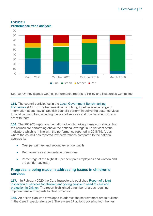

### <span id="page-36-0"></span>**Exhibit 7 Performance trend analysis**

Source: Orkney Islands Council performance reports to Policy and Resources Committee

**155.** The council participates in the [Local Government Benchmarking](http://www.improvementservice.org.uk/local-government-benchmarking-framework.html)  [Framework](http://www.improvementservice.org.uk/local-government-benchmarking-framework.html) (LGBF). The framework aims to bring together a wide range of information about how all Scottish councils perform in delivering better services to local communities, including the cost of services and how satisfied citizens are with them.

**156.** The 2019/20 report on the national benchmarking framework shows that the council are performing above the national average in 57 per cent of the indicators which is in line with the performance reported in 2018/19. Areas where the council has reported low performance compared to the national average is:

- Cost per primary and secondary school pupils
- Rent arrears as a percentage of rent due
- Percentage of the highest 5 per cent paid employees and women and the gender pay gap.

### **Progress is being made in addressing issues in children's services**

**157.** In February 2020 the Care Inspectorate published [Report of a joint](https://www.careinspectorate.com/images/documents/5568/Joint%20inspection%20of%20services%20for%20children%20and%20young%20people%20in%20Orkney%20Feb%202020.pdf)  [inspection of services for children and young people in need of care and](https://www.careinspectorate.com/images/documents/5568/Joint%20inspection%20of%20services%20for%20children%20and%20young%20people%20in%20Orkney%20Feb%202020.pdf)  [protection in Orkney.](https://www.careinspectorate.com/images/documents/5568/Joint%20inspection%20of%20services%20for%20children%20and%20young%20people%20in%20Orkney%20Feb%202020.pdf) The report highlighted a number of areas requiring improvement with regards to child protection.

**158.** An action plan was developed to address the improvement areas outlined in the Care Inspectorate report. There were 27 actions covering four themes: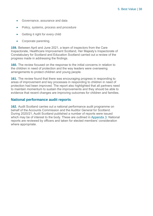- Governance, assurance and data
- Policy, systems, process and procedure
- Getting it right for every child
- Corporate parenting.

**159.** Between April and June 2021, a team of inspectors from the Care Inspectorate, Healthcare Improvement Scotland, Her Majesty's Inspectorate of Constabulary for Scotland and Education Scotland carried out a review of the progress made in addressing the findings.

**160.** The review focused on the response to the initial concerns in relation to the children in need of protection and the way leaders were overseeing arrangements to protect children and young people.

**161.** The review found that there was encouraging progress in responding to areas of improvement and key processes in responding to children in need of protection had been improved. The report also highlighted that all partners need to maintain momentum to sustain the improvements and they should be able to evidence that recent changes are improving outcomes for children and families.

### <span id="page-37-0"></span>**National performance audit reports**

**162.** Audit Scotland carries out a national performance audit programme on behalf of the Accounts Commission and the Auditor General for Scotland. During 2020/21, Audit Scotland published a number of reports were issued which may be of interest to the body. These are outlined in [Appendix 3.](#page-52-0) National reports are reviewed by officers and taken for elected members' consideration where appropriate.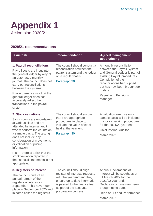### <span id="page-38-0"></span>**Appendix 1** Action plan 2020/21

### **2020/21 recommendations**

| <b>Issue/risk</b>                                                                                                                                                                                                                                                                                                                                                                                   | <b>Recommendation</b>                                                                                                                                                                                         | <b>Agreed management</b><br>action/timing                                                                                                                                                                                                                        |
|-----------------------------------------------------------------------------------------------------------------------------------------------------------------------------------------------------------------------------------------------------------------------------------------------------------------------------------------------------------------------------------------------------|---------------------------------------------------------------------------------------------------------------------------------------------------------------------------------------------------------------|------------------------------------------------------------------------------------------------------------------------------------------------------------------------------------------------------------------------------------------------------------------|
| 1. Payroll reconciliations<br>Payroll costs are input into<br>the general ledger by way of<br>an automated monthly<br>journal. The council does not<br>carry out reconciliations<br>between the systems.<br>Risk – there is a risk that the<br>general ledger does not<br>accurately reflect the<br>transactions in the payroll<br>system                                                           | The council should conduct a<br>reconciliation between the<br>payroll system and the ledger<br>on a regular basis.<br>Paragraph 30.                                                                           | A monthly reconciliation<br>between the Payroll System<br>and General Ledger is part of<br>existing Payroll procedures.<br>Completion of the<br>reconciliations had slipped<br>but has now been brought up<br>to date.<br><b>Payroll and Pensions</b><br>Manager |
| 2. Stock valuations<br>Stock counts are undertaken<br>at various sites and are<br>attended by internal audit<br>who reperform the counts on<br>a sample basis. The testing<br>does not include any<br>consideration of movements<br>or validation of pricing<br>information.<br>$Risk$ – there is a risk that the<br>stock valuation reported in<br>the financial statements is not<br>appropriate. | The council should ensure<br>there are appropriate<br>procedures in place to<br>validate the value of stock<br>held at the year end<br>Paragraph 30.                                                          | A valuation exercise on a<br>sample basis will be included<br>in stock checking procedures<br>for the 2021/22 year end.<br><b>Chief Internal Auditor</b><br>March 2022                                                                                           |
| 3. Registers of interest<br>The council conduct an<br>annual refresh of the<br>registers of interests in<br>September. This never took<br>place in September 2020 and<br>in some cases the registers                                                                                                                                                                                                | The council should align<br>register of interests requests<br>with the year end and they<br>ensure up to date information<br>is passed to the finance team<br>as part of the accounts<br>preparation process. | <b>Annual Declarations of</b><br>Interest will be sought as at<br>31 March 2022 for the<br>2021/22 year end.<br>Declarations have now been<br>brought up to date.<br>Head of HR and Performance                                                                  |

Head of HR and Performance

March 2022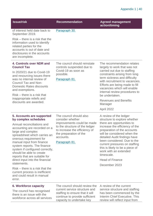| <b>Issue/risk</b>                                                                                                                                                             | <b>Recommendation</b>                                                                                                                | <b>Agreed management</b><br>action/timing                                                                                                                                                                                        |
|-------------------------------------------------------------------------------------------------------------------------------------------------------------------------------|--------------------------------------------------------------------------------------------------------------------------------------|----------------------------------------------------------------------------------------------------------------------------------------------------------------------------------------------------------------------------------|
| of interest held date back to<br>September 2019.                                                                                                                              | Paragraph 30.                                                                                                                        |                                                                                                                                                                                                                                  |
| $Risk$ – there is a risk that the<br>information used to identify<br>related parties for the<br>accounts is out of date and<br>disclosures in the accounts<br>are incomplete. |                                                                                                                                      |                                                                                                                                                                                                                                  |
| 4. Controls over NDR and<br><b>Council Tax</b>                                                                                                                                | The council should reinstate<br>controls suspended due to                                                                            | The recommendation relates<br>largely to work that was not                                                                                                                                                                       |
| In 2020/21 due to Covid-19<br>and resourcing issues there<br>was no internal review of<br><b>Council Tax and Non-</b><br><b>Domestic Rates discounts</b><br>and exemptions.   | Covid-19 as soon as<br>possible.<br>Paragraph 81.                                                                                    | carried out due to staffing<br>constraints arising from long<br>term sickness and difficulty<br>with recruitment to vacancies.<br>Efforts are being made to fill<br>vacancies which will enable<br>internal review procedures to |
| $Risk$ – there is a risk that<br>inappropriate reliefs and                                                                                                                    |                                                                                                                                      | be undertaken.<br><b>Revenues and Benefits</b>                                                                                                                                                                                   |
| discounts are awarded.                                                                                                                                                        |                                                                                                                                      | Manager<br>April 2022                                                                                                                                                                                                            |
| 5. Accounts are supported<br>by complex schedules                                                                                                                             | The council should also<br>consider whether                                                                                          | A review of the ledger<br>structure to explore whether                                                                                                                                                                           |
| Annual reconciliations and<br>accounting are recorded on a<br>large and complex<br>spreadsheet which carries an<br>onerous requirement for                                    | improvements could be made<br>to the structure of the ledger<br>to increase the efficiency of<br>the preparation of the<br>accounts. | there are opportunities to<br>increase the efficiency of the<br>preparation of the accounts<br>will be considered when the<br>detailed Audit findings have                                                                       |
| manual input from finance<br>system reports. The finance<br>system if configured correctly,<br>should be able to create<br>reports that are suitable for                      | Paragraph 81.                                                                                                                        | been considered. Due to the<br>current pressures on staffing<br>this is likely to be a piece of<br>work with an extended<br>timescale.                                                                                           |
| direct input into the financial<br>statements.                                                                                                                                |                                                                                                                                      | <b>Head of Finance</b>                                                                                                                                                                                                           |
| Risk – there is a risk that the<br>current process is inefficient<br>and could result in manual<br>error.                                                                     |                                                                                                                                      | December 2023                                                                                                                                                                                                                    |
| <b>6. Workforce capacity</b><br>The council has recognised                                                                                                                    | The council should review the<br>current service structure and<br>staffing to ensure that it will                                    | A review of the current<br>service structure and staffing<br>has been commenced by the                                                                                                                                           |

there is an issue with the workforce across all services

staffing to ensure that it will continue to provide sufficient capacity to undertake key

has been commenced by the Interim Chief Executive. This review will reflect input from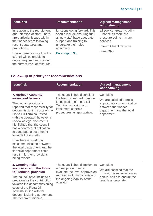### Appendix 1 | 41

| <b>Issue/risk</b>                                                                                                                                                     | <b>Recommendation</b>                                                                                                                                            | <b>Agreed management</b><br>action/timing                                                                                     |
|-----------------------------------------------------------------------------------------------------------------------------------------------------------------------|------------------------------------------------------------------------------------------------------------------------------------------------------------------|-------------------------------------------------------------------------------------------------------------------------------|
| in relation to the recruitment<br>and retention of staff. There<br>are particular issues within<br>the finance team following<br>recent departures and<br>promotions. | functions going forward. This<br>should include ensuring that<br>all new staff have adequate<br>support and training to<br>undertake their roles<br>effectively. | all service areas including<br>Finance as there are<br>pressure points in many<br>services.<br><b>Interim Chief Executive</b> |
| $Risk$ – there is a risk that the<br>council will be unable to<br>deliver required services with                                                                      | Paragraph 135.                                                                                                                                                   | <b>June 2022</b>                                                                                                              |

### **Follow-up of prior year recommendations**

the current level of resource.

| <b>Issue/risk</b>                                                                                                                                                                                                                                                                                                                                               | <b>Recommendation</b>                                                                                                                                                     | <b>Agreed management</b><br>action/timing                                                                                            |
|-----------------------------------------------------------------------------------------------------------------------------------------------------------------------------------------------------------------------------------------------------------------------------------------------------------------------------------------------------------------|---------------------------------------------------------------------------------------------------------------------------------------------------------------------------|--------------------------------------------------------------------------------------------------------------------------------------|
| 7. Harbour Authority<br>earmarked balance<br>The council previously<br>reported that responsibility for<br>decommissioning costs of the<br><b>Flotta Oil Terminal rested</b><br>with the operator, however a<br>review of legal documents<br>highlighted that the council<br>has a contractual obligation<br>to contribute a set amount<br>towards these costs. | The council should consider<br>the lessons learned from the<br>identification of Flotta Oil<br>Terminal provision and<br>implement controls<br>procedures as appropriate. | Complete<br>We are satisfied there is<br>appropriate communication<br>between the finance<br>department and the legal<br>department. |
| Risk-there is a risk that<br>miscommunication between<br>the legal department and the<br>financial department could<br>result in further provisions<br>being missed.                                                                                                                                                                                            |                                                                                                                                                                           |                                                                                                                                      |
| 8. Ongoing risks<br>associated with the Flotta<br><b>Oil Terminal provision</b><br>The council have included a<br>provision for the contribution<br>towards the decommissioning<br>costs of the Flotta Oil<br>Terminal in line with the<br>decommissioning agreement.<br>The decommissioning                                                                    | The council should implement<br>annual procedures to<br>evaluate the level of provision<br>required including a review of<br>the ongoing viability of the<br>operator.    | Complete<br>We are satisfied that the<br>provision is reviewed on an<br>annual basis to ensure the<br>level is appropriate.          |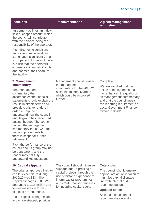| <b>Issue/risk</b>                                                                                                                                                                                                                                     | <b>Recommendation</b>                      | <b>Agreed management</b><br>action/timing |
|-------------------------------------------------------------------------------------------------------------------------------------------------------------------------------------------------------------------------------------------------------|--------------------------------------------|-------------------------------------------|
| agreement outlines an index-<br>linked, capped amount which<br>the council will contribute,<br>with the balance being the<br>responsibility of the operator.                                                                                          |                                            |                                           |
| <b>Risk-Economic conditions</b><br>and oil terminal operations<br>can change significantly in a<br>short period of time and there<br>is a risk that the operators<br>experience financial difficulty<br>and not meet their share of<br>the liability. |                                            |                                           |
| 9. Management<br>commentary                                                                                                                                                                                                                           | Management should review<br>the management | Complete<br>Ma ara eatiefiad that tha     |

The management commentary that accompanies the financial statements should explain the results in simple terms and provide clarity to readers in order to help them understand how the council and its group has performed against budget. The council revised the management commentary in 2019/20 and made improvements but there is scope for further refinement.

Risk -the performance of the council and its group may not be transparent, and the reader may not fully understand key messages.

### **10. Capital slippage**

The original approved limit for capital expenditure during 2019/20 was £33 million. Capital slippage in 2019/20 amounted to £18 million due to weaknesses in forward planning arrangements.

Risk –capital slippage might impact on strategic priorities

the management commentary for the 2020/21 accounts to identify areas which could be improved further.

We are satisfied that the action taken by the council has enhanced the quality of its management commentary and that the council meets the reporting requirements of Local Government Finance Circular 10/2020.

The council should minimise slippage and re-profiling of capital projects through the use of historic experience to inform capital programmes and create realistic timelines for incurring capital spend.

### **Outstanding**

The council should ensure appropriate action is taken to minimise capital slippage in line with internal audit recommendations.

### **Updated action**

Action continues on this recommendation and it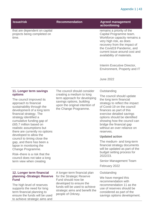### Appendix 1 | 43

| <b>Issue/risk</b>                                                                                                                                                                                                                                                                                  | <b>Recommendation</b>                                                                                                                                                                              | <b>Agreed management</b><br>action/timing                                                                                                                                                                                                                                                                            |
|----------------------------------------------------------------------------------------------------------------------------------------------------------------------------------------------------------------------------------------------------------------------------------------------------|----------------------------------------------------------------------------------------------------------------------------------------------------------------------------------------------------|----------------------------------------------------------------------------------------------------------------------------------------------------------------------------------------------------------------------------------------------------------------------------------------------------------------------|
| that are dependent on capital<br>projects being completed on<br>time.                                                                                                                                                                                                                              |                                                                                                                                                                                                    | remains a priority of the<br>Capital Programme team.<br>Workforce capacity remains a<br>very high risk, as does<br>recovery from the impact of<br>the Covid19 Pandemic, and<br>current issue around cost and<br>availability of materials.<br>Interim Executive Director,                                            |
|                                                                                                                                                                                                                                                                                                    |                                                                                                                                                                                                    | Environment, Property and IT<br><b>June 2022</b>                                                                                                                                                                                                                                                                     |
| 11. Longer term savings                                                                                                                                                                                                                                                                            | The council should consider                                                                                                                                                                        | Outstanding                                                                                                                                                                                                                                                                                                          |
| options<br>The council improved its<br>approach to financial<br>sustainability through the<br>development of a long term<br>financial strategy. The<br>strategy identified a<br>cumulative funding gap of<br>£65.7 million based on<br>realistic assumptions but<br>there are currently no options | creating a medium to long<br>term approach for developing<br>savings options, building<br>upon the original intention of<br>the Change Programme.                                                  | The council should update<br>the long term financial<br>strategy to reflect the impact<br>of Covid-19 on the council<br>finances as part of this<br>exercise detailed savings<br>options should be identified<br>showing how the council can<br>bridge the financial gap<br>without an over reliance on<br>reserves. |
| developed to allow the<br>council to timing close the                                                                                                                                                                                                                                              |                                                                                                                                                                                                    | <b>Updated action</b>                                                                                                                                                                                                                                                                                                |
| gap, and there has been a<br>lapse in monitoring the<br>Change Programme.<br>Risk-there is a risk that the                                                                                                                                                                                         |                                                                                                                                                                                                    | The medium- and long-term<br>financial strategy documents<br>will be updated as part of the<br>budget setting process for<br>2022/23.                                                                                                                                                                                |
| council does not take a long<br>term view when creating                                                                                                                                                                                                                                            |                                                                                                                                                                                                    | Senior Management Team                                                                                                                                                                                                                                                                                               |
|                                                                                                                                                                                                                                                                                                    |                                                                                                                                                                                                    | February 2022                                                                                                                                                                                                                                                                                                        |
| 12. Longer term financial<br>planning -Strategic Reserve<br><b>Fund</b><br>The high level of reserves<br>supports the need for long<br>term financial planning to<br>ensure the funds will be used<br>to achieve strategic aims and                                                                | A longer-term financial plan<br>for the Strategic Reserve<br>Fund should now be<br>developed to ensure the<br>funds will be used to achieve<br>strategic aims and benefit the<br>people of Orkney. | Outstanding<br>We have merged this<br>recommendation with<br>recommendation 11 as the<br>use of reserves should be<br>considered as part of the<br>savings options development.                                                                                                                                      |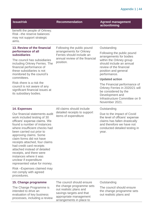| <b>Issue/risk</b>                                                                                                                                                                                                                                                                                                                                                                                                                                                                                                                    | <b>Recommendation</b>                                                                                                                  | <b>Agreed management</b><br>action/timing                                                                                                                            |
|--------------------------------------------------------------------------------------------------------------------------------------------------------------------------------------------------------------------------------------------------------------------------------------------------------------------------------------------------------------------------------------------------------------------------------------------------------------------------------------------------------------------------------------|----------------------------------------------------------------------------------------------------------------------------------------|----------------------------------------------------------------------------------------------------------------------------------------------------------------------|
| benefit the people of Orkney.<br>Risk-the reserve balances<br>may not support strategic<br>aims.                                                                                                                                                                                                                                                                                                                                                                                                                                     |                                                                                                                                        |                                                                                                                                                                      |
| 13. Review of the financial                                                                                                                                                                                                                                                                                                                                                                                                                                                                                                          | Following the public pound                                                                                                             | Outstanding                                                                                                                                                          |
| performance of all<br><b>subsidiaries</b>                                                                                                                                                                                                                                                                                                                                                                                                                                                                                            | arrangements for Orkney<br>Ferries should include an                                                                                   | Following the public pound<br>arrangements for bodies                                                                                                                |
| The council has subsidiaries<br>including Orkney Ferries. The<br>financial performance of<br>these subsidiaries is not<br>monitored by the council's                                                                                                                                                                                                                                                                                                                                                                                 | annual review of the financial<br>position.                                                                                            | within the Orkney group<br>should include an annual<br>review of the financial<br>position and general<br>performance.                                               |
| committees.                                                                                                                                                                                                                                                                                                                                                                                                                                                                                                                          |                                                                                                                                        | <b>Updated action</b>                                                                                                                                                |
| Risk-there is a risk the<br>council is not aware of any<br>significant financial issues at<br>its subsidiary bodies.                                                                                                                                                                                                                                                                                                                                                                                                                 |                                                                                                                                        | The Financial performance of<br>Orkney Ferries in 2020/21 will<br>be considered by the<br>Development and<br>Infrastructure Committee on 9<br>November 2021.         |
| <b>14. Expenses</b>                                                                                                                                                                                                                                                                                                                                                                                                                                                                                                                  | All claims should include                                                                                                              | Outstanding                                                                                                                                                          |
| Our financial statements audit<br>work included testing of 30<br>officers' expense claims. We<br>found a number of instances<br>where insufficient checks had<br>been carried out prior to<br>approving claims. Some<br>claim forms did not have<br>receipts attached, four claims<br>had credit card receipts<br>attached instead of detailed<br>receipts, and there were<br>instances where it was<br>unclear if expenditure<br>represented value for money.<br>Risk-Expenses claimed may<br>not comply with agreed<br>procedures. | detailed receipts to support<br>items of expenditure                                                                                   | Due to the impact of Covid<br>the level of officers' expense<br>claims has fallen drastically<br>and therefore we have not<br>conducted detailed testing in<br>year. |
| 15. Change programme                                                                                                                                                                                                                                                                                                                                                                                                                                                                                                                 | The council should ensure                                                                                                              | Outstanding                                                                                                                                                          |
| The Change Programme is<br>intended to drive an<br>evaluation of key business<br>processes, including a review                                                                                                                                                                                                                                                                                                                                                                                                                       | the change programme sets<br>out realistic plans and<br>savings targets and that<br>appropriate management<br>arrangements in place to | The council should ensure<br>the change programme sets<br>out realistic plans and                                                                                    |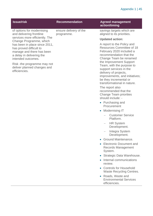### Appendix 1 | 45

| <b>Issue/risk</b>                                                                                                                                                                                                                                                                    | <b>Recommendation</b>                | <b>Agreed management</b><br>action/timing                                                                                                                                                                                                                                                                                                                                                                                                                                                                                                                                                                                                                                                                                                                                                                                                                                      |
|--------------------------------------------------------------------------------------------------------------------------------------------------------------------------------------------------------------------------------------------------------------------------------------|--------------------------------------|--------------------------------------------------------------------------------------------------------------------------------------------------------------------------------------------------------------------------------------------------------------------------------------------------------------------------------------------------------------------------------------------------------------------------------------------------------------------------------------------------------------------------------------------------------------------------------------------------------------------------------------------------------------------------------------------------------------------------------------------------------------------------------------------------------------------------------------------------------------------------------|
| of options for modernising<br>and delivering frontline                                                                                                                                                                                                                               | ensure delivery of the<br>programme. | savings targets which are<br>aligned to its priorities.                                                                                                                                                                                                                                                                                                                                                                                                                                                                                                                                                                                                                                                                                                                                                                                                                        |
|                                                                                                                                                                                                                                                                                      |                                      | <b>Updated action:</b>                                                                                                                                                                                                                                                                                                                                                                                                                                                                                                                                                                                                                                                                                                                                                                                                                                                         |
| services more efficiently. The<br>Change Programme, which<br>has been in place since 2011,<br>has proved difficult to<br>manage and there has been<br>a delay in delivering the<br>intended outcomes.<br>Risk -the programme may not<br>deliver planned changes and<br>efficiencies. |                                      | A report to the Policy and<br><b>Resources Committee of 18</b><br>February 2020 included a<br>recommendation that the<br>Change Team be renamed<br>the Improvement Support<br>Team, with the purpose to<br>support services in the<br>delivery of projects,<br>improvements, and initiatives;<br>be they incremental or<br>transformational in nature.<br>The report also<br>recommended that the<br><b>Change Team priorities</b><br>should include: -<br>• Purchasing and<br>Procurement<br>Modernising IT<br>$\bullet$<br><b>Customer Service</b><br>Platform.<br><b>HR System</b><br>$\overline{\phantom{0}}$<br>Development.<br>Integra System<br>Development.<br>Ground Maintenance.<br>$\bullet$<br><b>Electronic Document and</b><br>Records Management<br>System.<br>Strategic Data Warehouse.<br>Internal communications<br>review.<br><b>Controls for Household</b> |
|                                                                                                                                                                                                                                                                                      |                                      | <b>Waste Recycling Centres.</b>                                                                                                                                                                                                                                                                                                                                                                                                                                                                                                                                                                                                                                                                                                                                                                                                                                                |
|                                                                                                                                                                                                                                                                                      |                                      | Roads, Waste and<br>$\bullet$<br><b>Environmental Services</b><br>efficiencies.                                                                                                                                                                                                                                                                                                                                                                                                                                                                                                                                                                                                                                                                                                                                                                                                |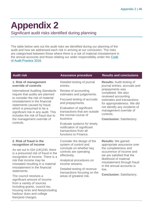## <span id="page-45-0"></span>**Appendix 2**

Significant audit risks identified during planning

The table below sets out the audit risks we identified during our planning of the audit and how we addressed each risk in arriving at our conclusion. The risks are categorised between those where there is a risk of material misstatement in the annual accounts and those relating our wider responsibility under the [Code](http://www.audit-scotland.gov.uk/report/code-of-audit-practice-2016)  [of Audit Practice 2016.](http://www.audit-scotland.gov.uk/report/code-of-audit-practice-2016)

### **1. Risk of management override of controls**

International Auditing Standards require that audits are planned to consider the risk of material misstatement in the financial statements caused by fraud, which is presumed to be a significant risk in any audit. This includes the risk of fraud due to the management override of controls.

Detailed testing of journal entries.

Review of accounting estimates and judgements.

Focused testing of accruals and prepayments.

Evaluation of significant transactions that are outside the normal course of business

Evaluate systems for timely notification of significant transactions from all functions to Finance.

### **Audit risk Assurance procedure Results and conclusions**

**Results:** Audit testing of journal entries, accruals and prepayments was completed. We also reviewed accounting estimates and transactions for appropriateness. We did not identify any incidents of management override of controls.

**Conclusion:** Satisfactory.

### **2. Risk of fraud in the recognition of income**

As set out in ISA (UK)240, there is a presumed risk of fraud in the recognition of income. There is a risk that income may be misstated resulting in a material misstatement in the financial statements.

The council receives a significant amount of income from a variety of sources including grants, council tax, housing rents and fees(including harbour dues and college fees)and charges.

Consider the design of the system of control and conclude on whether key controls are operating effectively.

Analytical procedures on income streams.

Detailed testing of revenue transactions focusing on the areas of greatest risk.

**Results:** We gained appropriate assurance over the completeness and occurrence of income and we are satisfied that the likelihood of material misstatement through fraud in the annual accounts is low.

**Conclusion:** Satisfactory.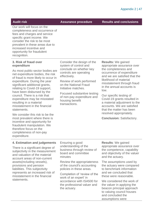**Audit risk Assurance procedure Results and conclusions**

Our work will focus on the completeness and occurrence of fees and charges and service specific grant income. We consider the risk to be most prevalent in these areas due to increased incentive and opportunity for fraudulent recognition.

### **3. Risk of fraud over expenditure**

As most public-sector bodies are net expenditure bodies, the risk of fraud is more likely to occur in expenditure. During the year significant additional grants, relating to Covid-19 support, have been disbursed by the council. There is a risk that expenditure may be misstated resulting in a material misstatement in the financial statements.

We consider this risk to be the most prevalent where there is incentive and opportunity for fraudulent manipulation. We therefore focus on the completeness of non-pay expenditure.

Consider the design of the system of control and conclude on whether key controls are operating effectively.

Review of work performed on the National Fraud Initiative matches.

Focused substantive testing of non-pay expenditure and housing benefit transactions.

**Results:** We gained appropriate assurance over the completeness and occurrence of expenditure and we are satisfied that the likelihood of material misstatement through fraud in the annual accounts is low.

Our specific testing of Covid-19 grants resulted in a material adjustment to the accounts. We are satisfied that the matter has been resolved appropriately.

**Conclusion:** Satisfactory.

### **4. Estimation and judgements**

There is a significant degree of subjectivity in the measurement and valuation of the material account areas of non-current assets(including vessels), provisions and pension liabilities. This subjectivity represents an increased risk of misstatement in the financial statements.

Ensuring a good understanding of the business through review of board and committee minutes

Review the appropriateness of the council's accounting policies in these areas.

Completion of 'review of the work of an expert' in accordance with ISA500 for the professional valuer and the actuary.

**Results**: We gained appropriate assurance over the competence, capability and objectivity of the valuer and the actuary.

The assumptions used by the actuary were compared to benchmark information and we concluded that these were reasonable.

We considered the work of the valuer in applying the beacon principal approach to valuing council houses and concluded the assumptions were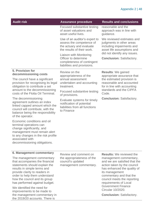| <b>Audit risk</b>                                                                                                                                                                                            | <b>Assurance procedure</b>                                                                                          | <b>Results and conclusions</b>                                                                                                                                                       |
|--------------------------------------------------------------------------------------------------------------------------------------------------------------------------------------------------------------|---------------------------------------------------------------------------------------------------------------------|--------------------------------------------------------------------------------------------------------------------------------------------------------------------------------------|
|                                                                                                                                                                                                              | Focused substantive testing<br>of asset valuations and<br>asset useful lives.                                       | reasonable and the<br>approach was in line with<br>guidance.                                                                                                                         |
|                                                                                                                                                                                                              | Use of an auditor's expert to<br>assess the competence of<br>the actuary and evaluate<br>the results of their work. | We reviewed estimates and<br>judgments in other areas<br>including impairments and<br>asset life assumptions and<br>did not identify any issues.<br><b>Conclusion: Satisfactory.</b> |
|                                                                                                                                                                                                              | Liaison with Monitoring<br>Officer to determine<br>completeness of contingent<br>liabilities and provisions.        |                                                                                                                                                                                      |
| 5. Provision for<br>decommissioning costs                                                                                                                                                                    | Review on the                                                                                                       | <b>Results: We gained</b><br>appropriate assurance that<br>the estimated provision is<br>reasonable and accounted<br>for in line with accounting<br>standards and the CIPFA<br>Code. |
| The council have a significant<br>provision for recognising its legal<br>obligation to contribute a set                                                                                                      | appropriateness of the<br>annual assessment<br>undertaken and accounting<br>treatment.                              |                                                                                                                                                                                      |
| amount to the decommissioning<br>costs of the Flotta Oil Terminal.                                                                                                                                           | Focused substantive testing<br>of provisions.                                                                       |                                                                                                                                                                                      |
| The decommissioning<br>agreement outlines an index<br>linked capped amount which the<br>council will contribute, with the<br>balance being the responsibility<br>of the operator.                            | Evaluate systems for timely<br>notification of potential<br>liabilities from all functions<br>to Finance            | <b>Conclusion: Satisfactory.</b>                                                                                                                                                     |
| Economic conditions and oil<br>terminal operations can<br>change significantly, and<br>management must remain alert<br>to any changes in the risk profile<br>associated with<br>decommissioning obligations. |                                                                                                                     |                                                                                                                                                                                      |

### **6. Management commentary**

The management commentary that accompanies the financial statements should explain the results in simple terms and provide clarity to readers in order to help them understand how the council and its group has performed against budget.  

We identified the need for improvements to be made to the management commentary in the 2019/20 accounts. There is

Review and comment on the appropriateness of the council's updated management commentary.

**Results:** We reviewed the management commentary, and we are satisfied that the action taken by the council has enhanced the quality of its management commentary and that the council meets the reporting requirements of Local Government Finance Circular 10/2020.

**Conclusion:** Satisfactory.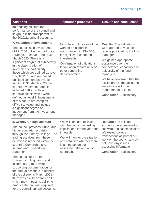**Audit risk Assurance procedure Results and conclusions**

an ongoing risk that the performance of the council and its group is not transparent in the 2020/21 annual accounts.

### **7. Valuation of investments**

The council held investments of £217.86 million as part of its Strategic Reserve Fund at 31 March 2020. There is a significant degree of subjectivity in the classification of investments, particularly those which are defined as level 3 by IFRS 13 and are based on significant unobservable inputs. At 31 March 2020 the council investment portfolio included £28.98 million of financial assets which were defined as level 3. Investments of this nature are complex, difficult to value and include a significant degree of judgement from the investment manager.

Completion of 'review of the work of an expert' in accordance with ISA 500, for significant unquoted investments.

Confirmation of valuations to valuation reports and/ or other supporting documentation.

**Results:** The valuations were agreed to valuation reports provided by the fund managers.

We gained appropriate assurance over the competence, capability and objectivity of the fund managers.

We have confirmed that the disclosures in the accounts were in line with the requirements of IFRS 9.

**Conclusion:** Satisfactory.

### **8. Orkney College account**

The council provides further and higher education provision through the Orkney College. The trading activities from these activities is reflected within the council's Comprehensive Income and Expenditure Statement.

The council rely on the University of Highlands and Islands (UHI) to provide supporting documentation for the annual accounts in respect of the college. In March 2021 there was a cyber-attack on UHI which may impact its ability to produce the back-up required for the council annual accounts.

We will continue to liaise with the council regarding implications for the year end timetable.

We will monitor the situation and establish whether there is an impact on our assessed risks and audit approach.

**Results:** The college accounts were prepared in line with original timescales. We tested college transactions as part of our work on the council and did not have any issues accessing information.

**Conclusion:** Satisfactory.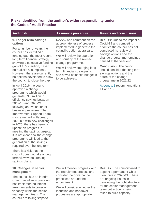### **Risks identified from the auditor's wider responsibility under the Code of Audit Practice**

### **9. Longer term savings options**

For a number of years the council has identified a funding gap, the most recent long term financial strategy showing a cumulative funding gap of £65.7 million, based on realistic assumptions. However, there are currently no options developed to allow the council to close the gap.

In April 2016 the council approved a change programme which would generate £3.8 million in efficiency savings between 2017/18 and 2020/21 following an evaluation of business processes. The Improvement Support Team was refreshed in February 2020 but with new challenges in 2020, there has been no update on progress in meeting the savings targets. It is not clear how the change programme will lead to the generation of the savings required over the long term.

There is a risk that the council does not take a long term view when creating savings plans.

### **10. Changes in senior management**

The council has an interim Chief Executive in place and has implemented interim arrangements to cover a vacancy within the senior management team. The council are taking steps to

We will monitor progress with the recruitment process and consider the governance processes around the appointment.

We will consider whether the induction and handover processes are appropriate.

**Results:** The council failed to appoint a permanent Chief Executive in 2020/21. There are ongoing issues in developing the right structure for the senior management team but action is being taken to build capacity.

Review and comment on the appropriateness of process implemented to generate the council's option appraisals.

We will review the operation and scrutiny of the revised change programme.

We will review emerging long term financial strategies to see how a balanced budget is to be achieved.

### **Audit risk Assurance procedure Results and conclusions**

**Results:** Due to the impact of Covid-19 and competing priorities the council has not completed its review of savings options and the change programme remained paused at the year end.

**Conclusion:** The council should consider the long term savings options and the future of the change programme in 2021/22.

[Appendix 1](#page-37-0) recommendations 11 and 15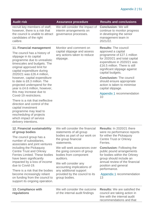| <b>Audit risk</b>                                                                                                                                                                                                                                                                                                                                                                                                                                                | <b>Assurance procedure</b>                                                                                                                                                                                                                                                                                                                                              | <b>Results and conclusions</b>                                                                                                                                                                                                                                                                                                                                                      |
|------------------------------------------------------------------------------------------------------------------------------------------------------------------------------------------------------------------------------------------------------------------------------------------------------------------------------------------------------------------------------------------------------------------------------------------------------------------|-------------------------------------------------------------------------------------------------------------------------------------------------------------------------------------------------------------------------------------------------------------------------------------------------------------------------------------------------------------------------|-------------------------------------------------------------------------------------------------------------------------------------------------------------------------------------------------------------------------------------------------------------------------------------------------------------------------------------------------------------------------------------|
| recruit key members of staff,<br>however, there is a risk that<br>the council is unable to attract<br>candidates of the right<br>calibre.                                                                                                                                                                                                                                                                                                                        | We will consider the impact of<br>interim arrangements on<br>governance processes.                                                                                                                                                                                                                                                                                      | <b>Conclusion: We will</b><br>continue to monitor progress<br>in developing the senior<br>management team in<br>2021/22.                                                                                                                                                                                                                                                            |
| 11. Financial management<br>The council has a history of<br>slippage in its capital<br>programme due to unrealistic<br>timescales and budgets. The<br>original approved limit for<br>capital expenditure during<br>2020/21 was £26.4 million,<br>however, capital expenditure<br>to date is £8.3 million. The<br>projected underspend for the<br>year is £4.6 million, however,<br>this may increase due to                                                      | Monitor and comment on<br>capital slippage and assess<br>any actions taken to reduce<br>slippage.                                                                                                                                                                                                                                                                       | <b>Results: The council</b><br>approved a capital<br>programme of £27.1 million<br>for 2020/21 and total capital<br>expenditure in 2020/21 was<br>£16.5 million. There is still<br>significant slippage against<br>capital budgets.<br><b>Conclusion: The council</b><br>should ensure appropriate<br>action is taken to minimise<br>capital slippage.<br>Appendix 1 recommendation |
| Covid-19 restrictions.<br>There is a risk that ineffective<br>direction and control of the<br>capital investment<br>programme may lead to<br>rescheduling of projects<br>which impact of service<br>delivery intentions.                                                                                                                                                                                                                                         |                                                                                                                                                                                                                                                                                                                                                                         | 10                                                                                                                                                                                                                                                                                                                                                                                  |
| 12. Financial sustainability<br>of group bodies<br>The council group has a<br>number of subsidiaries,<br>associates and joint ventures<br>including the Pickaquoy<br><b>Centre Trust and Orkney</b><br><b>Ferries Limited. These bodies</b><br>have been significantly<br>impacted by a loss of income<br>due to Covid-19.<br>There is a risk that the bodies<br>become increasingly reliant<br>on funding from the council to<br>support its ongoing operation. | We will consider the financial<br>statements of all group<br>bodies as part of our work on<br>the group financial<br>statements.<br>We will seek assurances over<br>the going concern of group<br>bodies from component<br>auditors.<br>We will consider any<br>accounting implications of<br>any additional support<br>provided by the council to its<br>group bodies. | <b>Results: In 2020/21 there</b><br>were no performance reports<br>for either the Pickaquoy<br><b>Centre Trust or Orkney</b><br>Ferries.<br><b>Conclusion: Following the</b><br>public pound arrangements<br>for bodies within the Orkney<br>group should include an<br>annual review of the financial<br>position and general<br>performance.<br>Appendix 1 recommendation<br>13   |
| 13. Compliance with<br>regulations                                                                                                                                                                                                                                                                                                                                                                                                                               | We will consider the outcome<br>of the internal audit findings                                                                                                                                                                                                                                                                                                          | <b>Results:</b> We are satisfied the<br>council are taking action in<br>line with the internal audit<br>recommendations and that                                                                                                                                                                                                                                                    |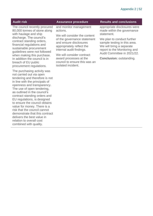The council recently procured 80,000 tonnes of stone along with haulage and ship discharge. The council's contract standing orders, financial regulations and sustainable procurement guidelines were not followed when making this purchase. In addition the council is in breach of EU public procurement regulations.

The purchasing activity was not carried out via open tendering and therefore is not in line with the principals of openness and transparency. The use of open tendering, as outlined in the council's contract standing orders and EU regulations, is designed to ensure the council obtains value for money. There is a risk that the council cannot demonstrate that this contract delivers the best value in relation to overall cost combined with quality.

and monitor management actions.

We will consider the content of the governance statement and ensure disclosures appropriately reflect the internal audit findings.

We will consider contract award processes at the council to ensure this was an isolated incident.

### **Audit risk Assurance procedure Results and conclusions**

appropriate disclosures were made within the governance statement.

We plan to conduct further sample testing in this area. We will bring a separate report to the Monitoring and Audit Committee in 2021/22.

**Conclusion:** outstanding.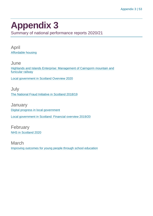## <span id="page-52-0"></span>**Appendix 3**

Summary of national performance reports 2020/21

April [Affordable housing](https://www.audit-scotland.gov.uk/report/affordable-housing)

**June** [Highlands and Islands Enterprise: Management of Cairngorm mountain and](https://www.audit-scotland.gov.uk/report/highlands-and-islands-enterprise-management-of-cairngorm-mountain-and-funicular-railway)  [funicular railway](https://www.audit-scotland.gov.uk/report/highlands-and-islands-enterprise-management-of-cairngorm-mountain-and-funicular-railway)

[Local government in Scotland Overview 2020](https://www.audit-scotland.gov.uk/report/local-government-in-scotland-overview-2020)

July [The National Fraud Initiative in Scotland 2018/19](https://www.audit-scotland.gov.uk/report/the-national-fraud-initiative-in-scotland-201819)

**January** [Digital progress in local government](https://www.audit-scotland.gov.uk/report/digital-progress-in-local-government) [Local government in Scotland: Financial overview 2019/20](https://www.audit-scotland.gov.uk/report/local-government-in-scotland-financial-overview-201920)

February [NHS in Scotland 2020](https://www.audit-scotland.gov.uk/report/nhs-in-scotland-2020)

March [Improving outcomes for young people through school education](https://www.audit-scotland.gov.uk/report/improving-outcomes-for-young-people-through-school-education)